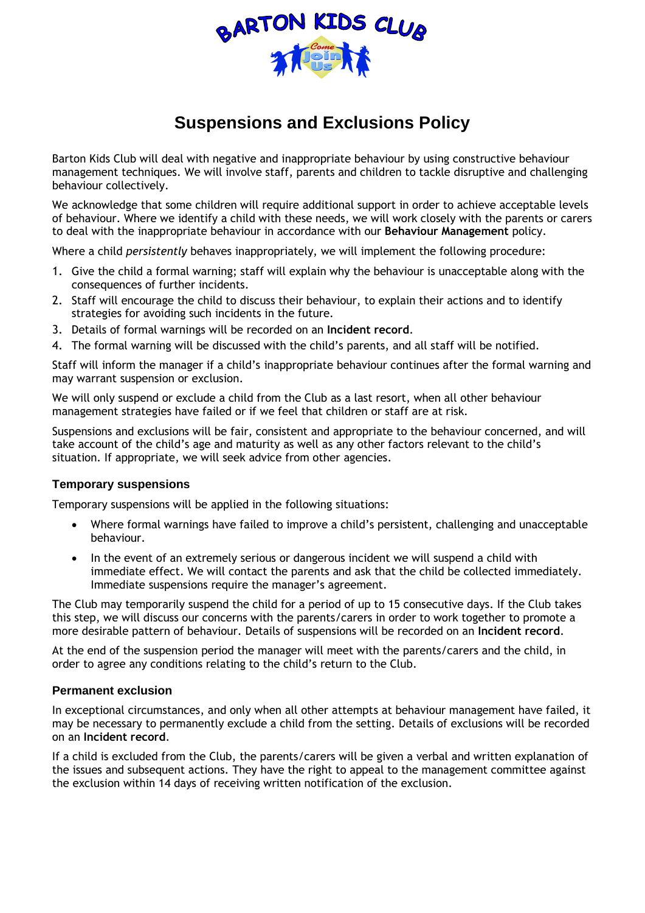

## **Suspensions and Exclusions Policy**

Barton Kids Club will deal with negative and inappropriate behaviour by using constructive behaviour management techniques. We will involve staff, parents and children to tackle disruptive and challenging behaviour collectively.

We acknowledge that some children will require additional support in order to achieve acceptable levels of behaviour. Where we identify a child with these needs, we will work closely with the parents or carers to deal with the inappropriate behaviour in accordance with our **Behaviour Management** policy.

Where a child *persistently* behaves inappropriately, we will implement the following procedure:

- 1. Give the child a formal warning; staff will explain why the behaviour is unacceptable along with the consequences of further incidents.
- 2. Staff will encourage the child to discuss their behaviour, to explain their actions and to identify strategies for avoiding such incidents in the future.
- 3. Details of formal warnings will be recorded on an **Incident record**.
- 4. The formal warning will be discussed with the child's parents, and all staff will be notified.

Staff will inform the manager if a child's inappropriate behaviour continues after the formal warning and may warrant suspension or exclusion.

We will only suspend or exclude a child from the Club as a last resort, when all other behaviour management strategies have failed or if we feel that children or staff are at risk.

Suspensions and exclusions will be fair, consistent and appropriate to the behaviour concerned, and will take account of the child's age and maturity as well as any other factors relevant to the child's situation. If appropriate, we will seek advice from other agencies.

## **Temporary suspensions**

Temporary suspensions will be applied in the following situations:

- Where formal warnings have failed to improve a child's persistent, challenging and unacceptable behaviour.
- In the event of an extremely serious or dangerous incident we will suspend a child with immediate effect. We will contact the parents and ask that the child be collected immediately. Immediate suspensions require the manager's agreement.

The Club may temporarily suspend the child for a period of up to 15 consecutive days. If the Club takes this step, we will discuss our concerns with the parents/carers in order to work together to promote a more desirable pattern of behaviour. Details of suspensions will be recorded on an **Incident record**.

At the end of the suspension period the manager will meet with the parents/carers and the child, in order to agree any conditions relating to the child's return to the Club.

## **Permanent exclusion**

In exceptional circumstances, and only when all other attempts at behaviour management have failed, it may be necessary to permanently exclude a child from the setting. Details of exclusions will be recorded on an **Incident record**.

If a child is excluded from the Club, the parents/carers will be given a verbal and written explanation of the issues and subsequent actions. They have the right to appeal to the management committee against the exclusion within 14 days of receiving written notification of the exclusion.